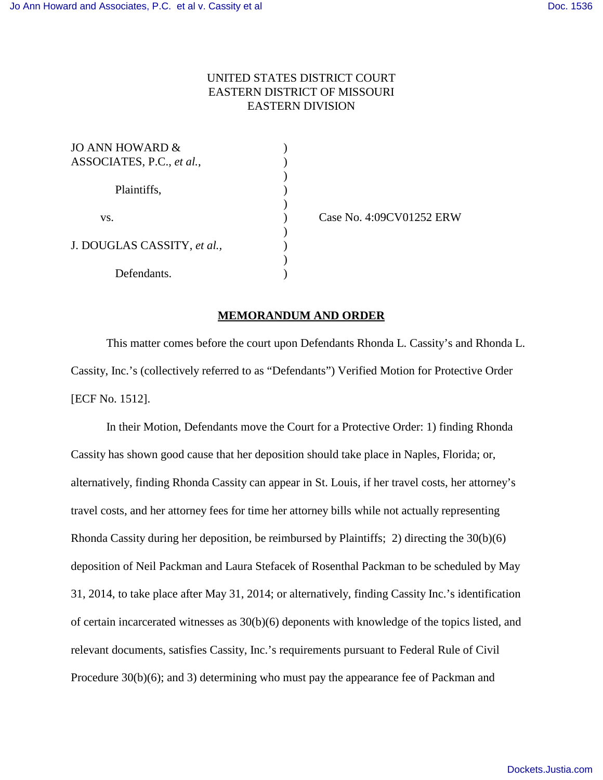## UNITED STATES DISTRICT COURT EASTERN DISTRICT OF MISSOURI EASTERN DIVISION

| JO ANN HOWARD &             |  |
|-----------------------------|--|
| ASSOCIATES, P.C., et al.,   |  |
|                             |  |
| Plaintiffs,                 |  |
|                             |  |
| VS.                         |  |
|                             |  |
| J. DOUGLAS CASSITY, et al., |  |
|                             |  |
| Defendants.                 |  |

) Case No. 4:09CV01252 ERW

## **MEMORANDUM AND ORDER**

This matter comes before the court upon Defendants Rhonda L. Cassity's and Rhonda L. Cassity, Inc.'s (collectively referred to as "Defendants") Verified Motion for Protective Order [ECF No. 1512].

In their Motion, Defendants move the Court for a Protective Order: 1) finding Rhonda Cassity has shown good cause that her deposition should take place in Naples, Florida; or, alternatively, finding Rhonda Cassity can appear in St. Louis, if her travel costs, her attorney's travel costs, and her attorney fees for time her attorney bills while not actually representing Rhonda Cassity during her deposition, be reimbursed by Plaintiffs; 2) directing the 30(b)(6) deposition of Neil Packman and Laura Stefacek of Rosenthal Packman to be scheduled by May 31, 2014, to take place after May 31, 2014; or alternatively, finding Cassity Inc.'s identification of certain incarcerated witnesses as  $30(b)(6)$  deponents with knowledge of the topics listed, and relevant documents, satisfies Cassity, Inc.'s requirements pursuant to Federal Rule of Civil Procedure 30(b)(6); and 3) determining who must pay the appearance fee of Packman and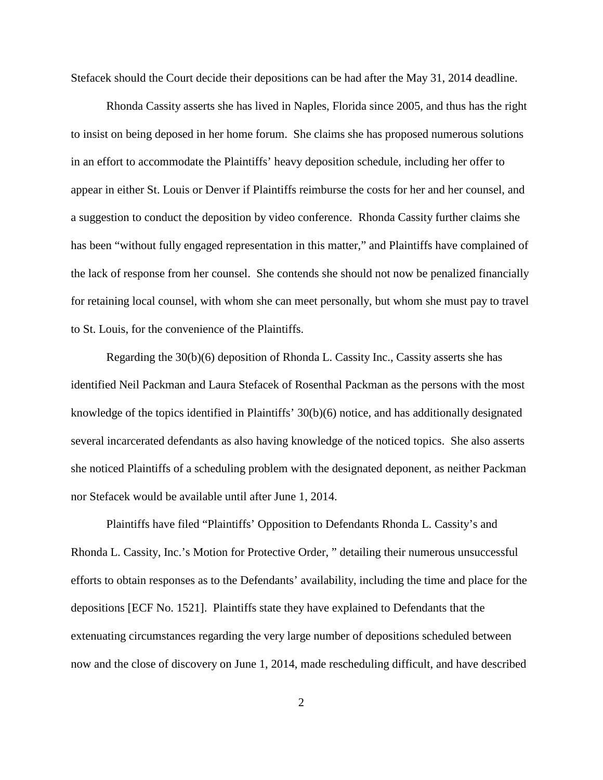Stefacek should the Court decide their depositions can be had after the May 31, 2014 deadline.

Rhonda Cassity asserts she has lived in Naples, Florida since 2005, and thus has the right to insist on being deposed in her home forum. She claims she has proposed numerous solutions in an effort to accommodate the Plaintiffs' heavy deposition schedule, including her offer to appear in either St. Louis or Denver if Plaintiffs reimburse the costs for her and her counsel, and a suggestion to conduct the deposition by video conference. Rhonda Cassity further claims she has been "without fully engaged representation in this matter," and Plaintiffs have complained of the lack of response from her counsel. She contends she should not now be penalized financially for retaining local counsel, with whom she can meet personally, but whom she must pay to travel to St. Louis, for the convenience of the Plaintiffs.

Regarding the 30(b)(6) deposition of Rhonda L. Cassity Inc., Cassity asserts she has identified Neil Packman and Laura Stefacek of Rosenthal Packman as the persons with the most knowledge of the topics identified in Plaintiffs' 30(b)(6) notice, and has additionally designated several incarcerated defendants as also having knowledge of the noticed topics. She also asserts she noticed Plaintiffs of a scheduling problem with the designated deponent, as neither Packman nor Stefacek would be available until after June 1, 2014.

Plaintiffs have filed "Plaintiffs' Opposition to Defendants Rhonda L. Cassity's and Rhonda L. Cassity, Inc.'s Motion for Protective Order, " detailing their numerous unsuccessful efforts to obtain responses as to the Defendants' availability, including the time and place for the depositions [ECF No. 1521]. Plaintiffs state they have explained to Defendants that the extenuating circumstances regarding the very large number of depositions scheduled between now and the close of discovery on June 1, 2014, made rescheduling difficult, and have described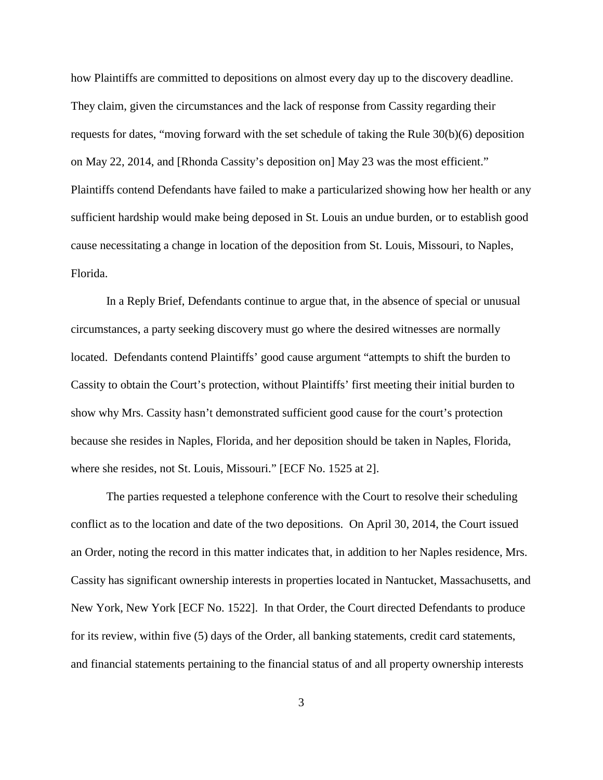how Plaintiffs are committed to depositions on almost every day up to the discovery deadline. They claim, given the circumstances and the lack of response from Cassity regarding their requests for dates, "moving forward with the set schedule of taking the Rule 30(b)(6) deposition on May 22, 2014, and [Rhonda Cassity's deposition on] May 23 was the most efficient." Plaintiffs contend Defendants have failed to make a particularized showing how her health or any sufficient hardship would make being deposed in St. Louis an undue burden, or to establish good cause necessitating a change in location of the deposition from St. Louis, Missouri, to Naples, Florida.

In a Reply Brief, Defendants continue to argue that, in the absence of special or unusual circumstances, a party seeking discovery must go where the desired witnesses are normally located. Defendants contend Plaintiffs' good cause argument "attempts to shift the burden to Cassity to obtain the Court's protection, without Plaintiffs' first meeting their initial burden to show why Mrs. Cassity hasn't demonstrated sufficient good cause for the court's protection because she resides in Naples, Florida, and her deposition should be taken in Naples, Florida, where she resides, not St. Louis, Missouri." [ECF No. 1525 at 2].

The parties requested a telephone conference with the Court to resolve their scheduling conflict as to the location and date of the two depositions. On April 30, 2014, the Court issued an Order, noting the record in this matter indicates that, in addition to her Naples residence, Mrs. Cassity has significant ownership interests in properties located in Nantucket, Massachusetts, and New York, New York [ECF No. 1522]. In that Order, the Court directed Defendants to produce for its review, within five (5) days of the Order, all banking statements, credit card statements, and financial statements pertaining to the financial status of and all property ownership interests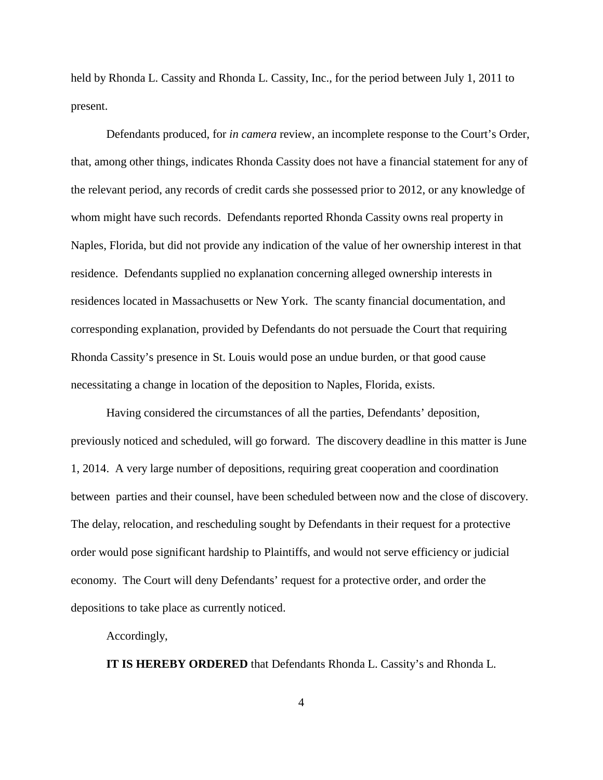held by Rhonda L. Cassity and Rhonda L. Cassity, Inc., for the period between July 1, 2011 to present.

Defendants produced, for *in camera* review, an incomplete response to the Court's Order, that, among other things, indicates Rhonda Cassity does not have a financial statement for any of the relevant period, any records of credit cards she possessed prior to 2012, or any knowledge of whom might have such records. Defendants reported Rhonda Cassity owns real property in Naples, Florida, but did not provide any indication of the value of her ownership interest in that residence. Defendants supplied no explanation concerning alleged ownership interests in residences located in Massachusetts or New York. The scanty financial documentation, and corresponding explanation, provided by Defendants do not persuade the Court that requiring Rhonda Cassity's presence in St. Louis would pose an undue burden, or that good cause necessitating a change in location of the deposition to Naples, Florida, exists.

Having considered the circumstances of all the parties, Defendants' deposition, previously noticed and scheduled, will go forward. The discovery deadline in this matter is June 1, 2014. A very large number of depositions, requiring great cooperation and coordination between parties and their counsel, have been scheduled between now and the close of discovery. The delay, relocation, and rescheduling sought by Defendants in their request for a protective order would pose significant hardship to Plaintiffs, and would not serve efficiency or judicial economy. The Court will deny Defendants' request for a protective order, and order the depositions to take place as currently noticed.

Accordingly,

**IT IS HEREBY ORDERED** that Defendants Rhonda L. Cassity's and Rhonda L.